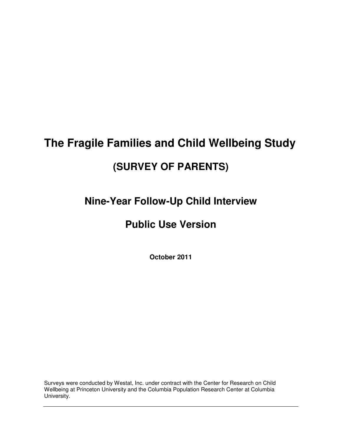# **The Fragile Families and Child Wellbeing Study**

# **(SURVEY OF PARENTS)**

# **Nine-Year Follow-Up Child Interview**

# **Public Use Version**

**October 2011** 

Surveys were conducted by Westat, Inc. under contract with the Center for Research on Child Wellbeing at Princeton University and the Columbia Population Research Center at Columbia University.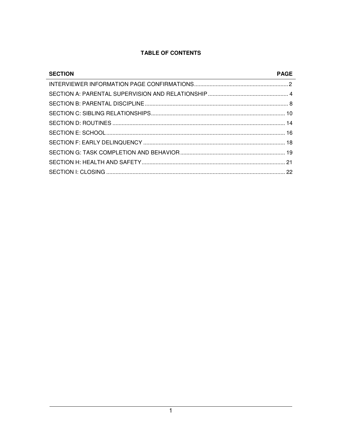# TABLE OF CONTENTS

| <b>SECTION</b> | <b>PAGE</b> |
|----------------|-------------|
|                |             |
|                |             |
|                |             |
|                |             |
|                |             |
|                |             |
|                |             |
|                |             |
|                |             |
|                |             |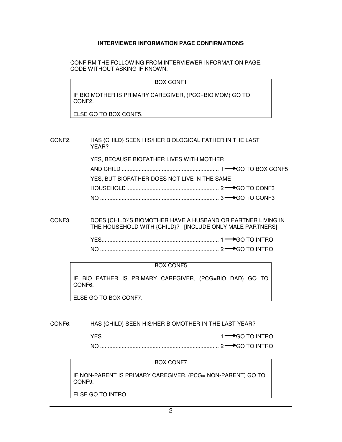#### **INTERVIEWER INFORMATION PAGE CONFIRMATIONS**

 CONFIRM THE FOLLOWING FROM INTERVIEWER INFORMATION PAGE. CODE WITHOUT ASKING IF KNOWN.

BOX CONF1

IF BIO MOTHER IS PRIMARY CAREGIVER, (PCG=BIO MOM) GO TO CONF2.

ELSE GO TO BOX CONF5.

CONF2. HAS {CHILD} SEEN HIS/HER BIOLOGICAL FATHER IN THE LAST YEAR? YES, BECAUSE BIOFATHER LIVES WITH MOTHER AND CHILD ............................................................... 1 GO TO BOX CONF5 YES, BUT BIOFATHER DOES NOT LIVE IN THE SAME HOUSEHOLD ............................................................ 2 GO TO CONF3 NO ............................................................................. 3 GO TO CONF3

CONF3. DOES {CHILD}'S BIOMOTHER HAVE A HUSBAND OR PARTNER LIVING IN THE HOUSEHOLD WITH {CHILD}? [INCLUDE ONLY MALE PARTNERS]

|  | $\rightarrow \rightarrow$ GO TO INTRO |
|--|---------------------------------------|
|  | י חם הוא חד ח <del>בי — </del> כי     |

#### BOX CONF5

IF BIO FATHER IS PRIMARY CAREGIVER, (PCG=BIO DAD) GO TO CONF6.

ELSE GO TO BOX CONF7.

CONF6. HAS {CHILD} SEEN HIS/HER BIOMOTHER IN THE LAST YEAR?

|  | $\rightarrow$ $\cdots$ in INTRO |  |
|--|---------------------------------|--|
|  | $\rightarrow$ $\cdots$ in TRO   |  |

#### BOX CONF7

IF NON-PARENT IS PRIMARY CAREGIVER, (PCG= NON-PARENT) GO TO CONF9.

ELSE GO TO INTRO.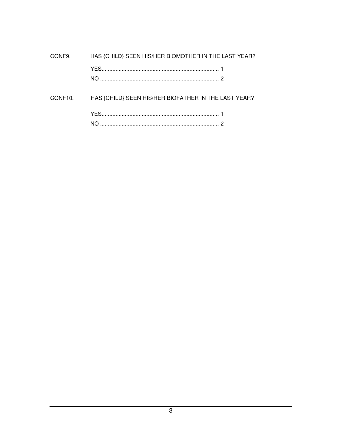| CONF9.  | HAS {CHILD} SEEN HIS/HER BIOMOTHER IN THE LAST YEAR? |  |
|---------|------------------------------------------------------|--|
|         |                                                      |  |
|         |                                                      |  |
| CONF10. | HAS {CHILD} SEEN HIS/HER BIOFATHER IN THE LAST YEAR? |  |
|         |                                                      |  |
|         |                                                      |  |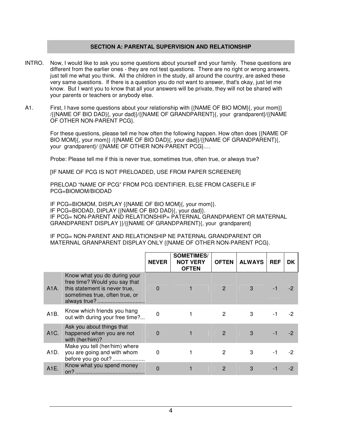#### **SECTION A: PARENTAL SUPERVISION AND RELATIONSHIP**

- INTRO. Now, I would like to ask you some questions about yourself and your family. These questions are different from the earlier ones - they are not test questions. There are no right or wrong answers, just tell me what you think. All the children in the study, all around the country, are asked these very same questions. If there is a question you do not want to answer, that's okay, just let me know. But I want you to know that all your answers will be private, they will not be shared with your parents or teachers or anybody else.
- A1. First, I have some questions about your relationship with {{NAME OF BIO MOM}{, your mom}} /{{NAME OF BIO DAD}{, your dad}}/{{NAME OF GRANDPARENT}{, your grandparent}/{{NAME OF OTHER NON-PARENT PCG}.

 For these questions, please tell me how often the following happen. How often does {{NAME OF BIO MOM}{, your mom}} /{{NAME OF BIO DAD}{, your dad}}/{{NAME OF GRANDPARENT}{, your grandparent}/ {{NAME OF OTHER NON-PARENT PCG}.…

Probe: Please tell me if this is never true, sometimes true, often true, or always true?

[IF NAME OF PCG IS NOT PRELOADED, USE FROM PAPER SCREENER]

PRELOAD "NAME OF PCG" FROM PCG IDENTIFIER. ELSE FROM CASEFILE IF PCG=BIOMOM/BIODAD

IF PCG=BIOMOM, DISPLAY {{NAME OF BIO MOM}{, your mom}}. IF PCG=BIODAD, DIPLAY {{NAME OF BIO DAD}{, your dad}}. IF PCG= NON-PARENT AND RELATIONSHIP= PATERNAL GRANDPARENT OR MATERNAL GRANDPARENT DISPLAY }}/{{NAME OF GRANDPARENT}{, your grandparent}

IF PCG= NON-PARENT AND RELATIONSHIP NE PATERNAL GRANDPARENT OR MATERNAL GRANPARENT DISPLAY ONLY {{NAME OF OTHER NON-PARENT PCG}.

|                   |                                                                                                                                                  | <b>NEVER</b> | <b>SOMETIMES/</b><br><b>NOT VERY</b><br><b>OFTEN</b> | <b>OFTEN</b>  | <b>ALWAYS</b> | <b>REF</b> | DK. |
|-------------------|--------------------------------------------------------------------------------------------------------------------------------------------------|--------------|------------------------------------------------------|---------------|---------------|------------|-----|
| A1A.              | Know what you do during your<br>free time? Would you say that<br>this statement is never true,<br>sometimes true, often true, or<br>always true? | $\Omega$     |                                                      | 2             | 3             |            |     |
| A1B.              | Know which friends you hang<br>out with during your free time?                                                                                   | $\Omega$     |                                                      | 2             | 3             |            | -2  |
| A1C.              | Ask you about things that<br>happened when you are not<br>with (her/him)?                                                                        | $\Omega$     |                                                      | 2             | 3             |            |     |
| A <sub>1</sub> D. | Make you tell (her/him) where<br>you are going and with whom<br>before you go out?                                                               | $\Omega$     |                                                      | 2             | 3             |            |     |
| A1E.              | Know what you spend money                                                                                                                        | $\Omega$     |                                                      | $\mathcal{P}$ | 3             |            |     |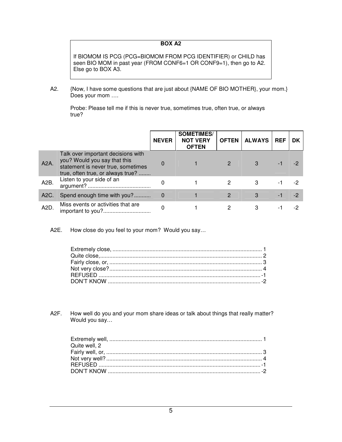#### **BOX A2**

If BIOMOM IS PCG (PCG=BIOMOM FROM PCG IDENTIFIER) or CHILD has seen BIO MOM in past year (FROM CONF6=1 OR CONF9=1), then go to A2. Else go to BOX A3.

A2. {Now, I have some questions that are just about {NAME OF BIO MOTHER}, your mom.} Does your mom ….

Probe: Please tell me if this is never true, sometimes true, often true, or always true?

|                   |                                                                                                                                               | <b>NEVER</b> | <b>SOMETIMES/</b><br><b>NOT VERY</b><br><b>OFTEN</b> | <b>OFTEN</b>   | <b>ALWAYS</b> | <b>REF</b> | DK |
|-------------------|-----------------------------------------------------------------------------------------------------------------------------------------------|--------------|------------------------------------------------------|----------------|---------------|------------|----|
| A2A.              | Talk over important decisions with<br>you? Would you say that this<br>statement is never true, sometimes<br>true, often true, or always true? |              |                                                      | $\mathcal{P}$  |               |            |    |
| A2B.              | Listen to your side of an                                                                                                                     |              |                                                      | 2              | 3             |            |    |
| A <sub>2</sub> C. | Spend enough time with you?                                                                                                                   |              |                                                      | $\overline{2}$ | 3             |            | -2 |
| A <sub>2</sub> D. | Miss events or activities that are                                                                                                            |              |                                                      | 2              |               |            |    |

A2E. How close do you feel to your mom? Would you say…

A2F. How well do you and your mom share ideas or talk about things that really matter? Would you say…

| Quite well, 2 |  |
|---------------|--|
|               |  |
|               |  |
|               |  |
|               |  |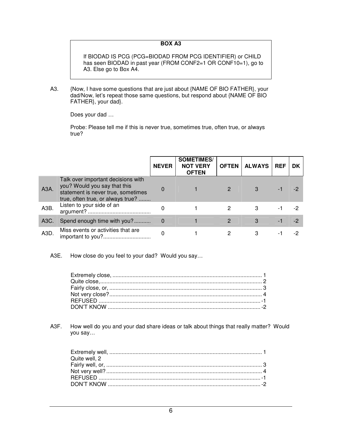#### **BOX A3**

If BIODAD IS PCG (PCG=BIODAD FROM PCG IDENTIFIER) or CHILD has seen BIODAD in past year (FROM CONF2=1 OR CONF10=1), go to A3. Else go to Box A4.

A3. {Now, I have some questions that are just about {NAME OF BIO FATHER}, your dad/Now, let's repeat those same questions, but respond about {NAME OF BIO FATHER}, your dad}.

Does your dad …

Probe: Please tell me if this is never true, sometimes true, often true, or always true?

|                   |                                                                                                                                               | <b>NEVER</b> | <b>SOMETIMES/</b><br><b>NOT VERY</b><br><b>OFTEN</b> | <b>OFTEN</b>  | <b>ALWAYS</b> | <b>REF</b> | <b>DK</b> |
|-------------------|-----------------------------------------------------------------------------------------------------------------------------------------------|--------------|------------------------------------------------------|---------------|---------------|------------|-----------|
| A <sub>3</sub> A. | Talk over important decisions with<br>you? Would you say that this<br>statement is never true, sometimes<br>true, often true, or always true? | 0            |                                                      | $\mathcal{P}$ | $\mathcal{S}$ |            | -2        |
| A <sub>3</sub> B. | Listen to your side of an                                                                                                                     |              |                                                      | 2             | 3             |            | -2        |
| A3C.              | Spend enough time with you?                                                                                                                   |              |                                                      | 2             | 3             |            | $-2$      |
| A <sub>3</sub> D. | Miss events or activities that are                                                                                                            |              |                                                      | 2             |               |            | $-2$      |

A3E. How close do you feel to your dad? Would you say…

A3F. How well do you and your dad share ideas or talk about things that really matter? Would you say…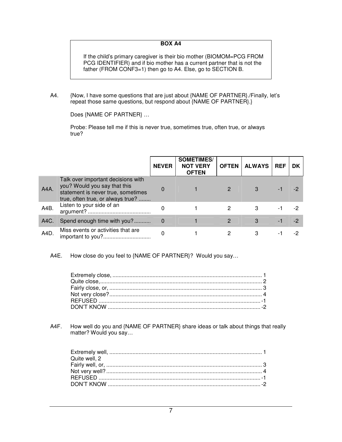#### **BOX A4**

If the child's primary caregiver is their bio mother (BIOMOM=PCG FROM PCG IDENTIFIER) and if bio mother has a current partner that is not the father (FROM CONF3=1) then go to A4. Else, go to SECTION B.

A4. {Now, I have some questions that are just about {NAME OF PARTNER}./Finally, let's repeat those same questions, but respond about {NAME OF PARTNER}.}

Does {NAME OF PARTNER} …

Probe: Please tell me if this is never true, sometimes true, often true, or always true?

|         |                                                                                                                                               | <b>NEVER</b> | <b>SOMETIMES/</b><br><b>NOT VERY</b><br><b>OFTEN</b> | <b>OFTEN</b>  | <b>ALWAYS</b> | <b>REF</b> | <b>DK</b> |
|---------|-----------------------------------------------------------------------------------------------------------------------------------------------|--------------|------------------------------------------------------|---------------|---------------|------------|-----------|
| $A4A$ . | Talk over important decisions with<br>you? Would you say that this<br>statement is never true, sometimes<br>true, often true, or always true? | $\Omega$     |                                                      | $\mathcal{P}$ | $\mathcal{S}$ |            | -2        |
| A4B.    | Listen to your side of an                                                                                                                     |              |                                                      | 2             | 3             |            | -2        |
| A4C.    | Spend enough time with you?                                                                                                                   |              |                                                      | 2             | 3             |            | -2        |
| A4D.    | Miss events or activities that are                                                                                                            |              |                                                      | 2             |               |            | -2        |

A4E. How close do you feel to {NAME OF PARTNER}? Would you say…

A4F. How well do you and {NAME OF PARTNER} share ideas or talk about things that really matter? Would you say…

| Quite well, 2 |  |
|---------------|--|
|               |  |
|               |  |
|               |  |
|               |  |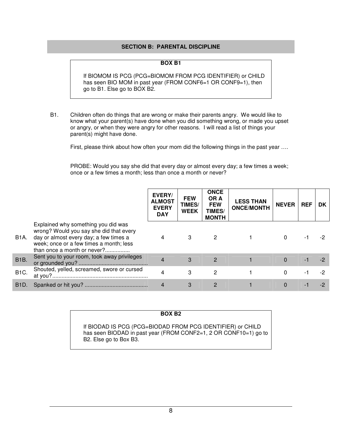#### **SECTION B: PARENTAL DISCIPLINE**

#### **BOX B1**

If BIOMOM IS PCG (PCG=BIOMOM FROM PCG IDENTIFIER) or CHILD has seen BIO MOM in past year (FROM CONF6=1 OR CONF9=1), then go to B1. Else go to BOX B2.

B1. Children often do things that are wrong or make their parents angry. We would like to know what your parent(s) have done when you did something wrong, or made you upset or angry, or when they were angry for other reasons. I will read a list of things your parent(s) might have done.

First, please think about how often your mom did the following things in the past year ....

PROBE: Would you say she did that every day or almost every day; a few times a week; once or a few times a month; less than once a month or never?

|                   |                                                                                                                                                                                                    | EVERY/<br><b>ALMOST</b><br><b>EVERY</b><br><b>DAY</b> | <b>FEW</b><br>TIMES/<br><b>WEEK</b> | <b>ONCE</b><br>OR A<br><b>FEW</b><br>TIMES/<br><b>MONTH</b> | <b>LESS THAN</b><br><b>ONCE/MONTH</b> | <b>NEVER</b> | <b>REF</b> | DK |
|-------------------|----------------------------------------------------------------------------------------------------------------------------------------------------------------------------------------------------|-------------------------------------------------------|-------------------------------------|-------------------------------------------------------------|---------------------------------------|--------------|------------|----|
| <b>B1A.</b>       | Explained why something you did was<br>wrong? Would you say she did that every<br>day or almost every day; a few times a<br>week; once or a few times a month; less<br>than once a month or never? |                                                       | 3                                   | 2                                                           |                                       | $\Omega$     |            |    |
| <b>B1B.</b>       | Sent you to your room, took away privileges                                                                                                                                                        |                                                       | 3                                   | $\overline{2}$                                              |                                       | $\Omega$     |            |    |
| B <sub>1</sub> C. | Shouted, yelled, screamed, swore or cursed                                                                                                                                                         |                                                       | 3                                   | 2                                                           |                                       | $\Omega$     |            | -2 |
| B <sub>1</sub> D. |                                                                                                                                                                                                    |                                                       | 3                                   | $\overline{2}$                                              |                                       |              |            |    |

#### **BOX B2**

If BIODAD IS PCG (PCG=BIODAD FROM PCG IDENTIFIER) or CHILD has seen BIODAD in past year (FROM CONF2=1, 2 OR CONF10=1) go to B2. Else go to Box B3.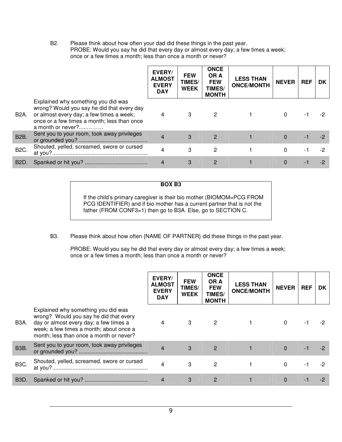B2. Please think about how often your dad did these things in the past year. PROBE: Would you say he did that every day or almost every day; a few times a week; once or a few times a month; less than once a month or never?

|                   |                                                                                                                                                                                                   | EVERY/<br><b>ALMOST</b><br><b>EVERY</b><br><b>DAY</b> | <b>FEW</b><br>TIMES/<br><b>WEEK</b> | <b>ONCE</b><br>OR A<br><b>FEW</b><br><b>TIMES/</b><br><b>MONTH</b> | <b>LESS THAN</b><br><b>ONCE/MONTH</b> | <b>NEVER</b> | <b>REF</b> | DK |
|-------------------|---------------------------------------------------------------------------------------------------------------------------------------------------------------------------------------------------|-------------------------------------------------------|-------------------------------------|--------------------------------------------------------------------|---------------------------------------|--------------|------------|----|
| B2A.              | Explained why something you did was<br>wrong? Would you say he did that every day<br>or almost every day; a few times a week;<br>once or a few times a month; less than once<br>a month or never? | $\overline{4}$                                        | 3                                   | $\overline{2}$                                                     |                                       | $\Omega$     |            |    |
| B <sub>2</sub> B. | Sent you to your room, took away privileges                                                                                                                                                       |                                                       | 3                                   | $\overline{2}$                                                     |                                       | $\theta$     |            |    |
| <b>B2C.</b>       | Shouted, yelled, screamed, swore or cursed                                                                                                                                                        | 4                                                     | 3                                   | 2                                                                  |                                       | $\Omega$     |            |    |
| B <sub>2</sub> D  |                                                                                                                                                                                                   |                                                       | 3                                   | $\mathbf{2}$                                                       |                                       |              |            |    |

**BOX B3**

If the child's primary caregiver is their bio mother (BIOMOM=PCG FROM PCG IDENTIFIER) and if bio mother has a current partner that is not the father (FROM CONF3=1) then go to B3A. Else, go to SECTION C.

#### B3. Please think about how often {NAME OF PARTNER} did these things in the past year.

PROBE: Would you say he did that every day or almost every day; a few times a week; once or a few times a month; less than once a month or never?

|                   |                                                                                                                                                                                                               | EVERY/<br><b>ALMOST</b><br><b>EVERY</b><br><b>DAY</b> | <b>FEW</b><br>TIMES/<br><b>WEEK</b> | <b>ONCE</b><br>OR A<br><b>FEW</b><br><b>TIMES/</b><br><b>MONTH</b> | <b>LESS THAN</b><br><b>ONCE/MONTH</b> | <b>NEVER</b> | <b>REF</b> | DK. |
|-------------------|---------------------------------------------------------------------------------------------------------------------------------------------------------------------------------------------------------------|-------------------------------------------------------|-------------------------------------|--------------------------------------------------------------------|---------------------------------------|--------------|------------|-----|
| B3A.              | Explained why something you did was<br>wrong? Would you say he did that every<br>day or almost every day; a few times a<br>week; a few times a month; about once a<br>month; less than once a month or never? | 4                                                     | 3                                   | $\mathbf{2}$                                                       |                                       | 0            |            |     |
| <b>B3B.</b>       | Sent you to your room, took away privileges                                                                                                                                                                   | $\overline{4}$                                        | 3                                   | 2                                                                  |                                       | $\Omega$     | $-1$       |     |
| <b>B3C.</b>       | Shouted, yelled, screamed, swore or cursed                                                                                                                                                                    | 4                                                     | 3                                   | $\overline{2}$                                                     |                                       | $\Omega$     |            |     |
| B <sub>3</sub> D. |                                                                                                                                                                                                               | 4                                                     | 3                                   | $\overline{2}$                                                     |                                       | $\Omega$     |            |     |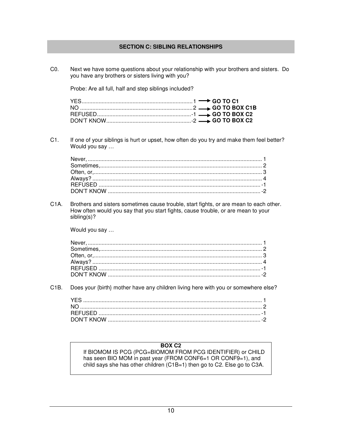#### **SECTION C: SIBLING RELATIONSHIPS**

 $CO<sub>2</sub>$ Next we have some questions about your relationship with your brothers and sisters. Do you have any brothers or sisters living with you? Probe: Are all full, half and step siblings included?  $C1.$ If one of your siblings is hurt or upset, how often do you try and make them feel better? Would you say ...  $C<sub>1</sub>A$ Brothers and sisters sometimes cause trouble, start fights, or are mean to each other. How often would you say that you start fights, cause trouble, or are mean to your  $sibling(s)?$ Would you say ...  $C1B.$ Does your {birth} mother have any children living here with you or somewhere else? **BOX C2** If BIOMOM IS PCG (PCG=BIOMOM FROM PCG IDENTIFIER) or CHILD

has seen BIO MOM in past year (FROM CONF6=1 OR CONF9=1), and child says she has other children (C1B=1) then go to C2. Else go to C3A.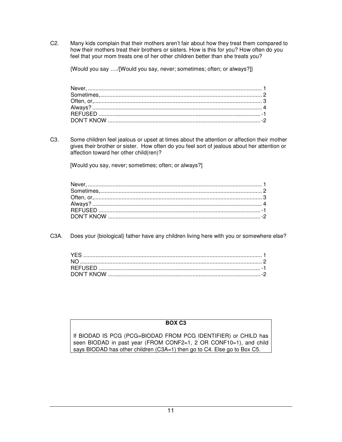C2. Many kids complain that their mothers aren't fair about how they treat them compared to how their mothers treat their brothers or sisters. How is this for you? How often do you feel that your mom treats one of her other children better than she treats you?

{Would you say …./[Would you say, never; sometimes; often; or always?]}

Never, ................................................................................................................. 1 Sometimes, ......................................................................................................... 2 Often, or, ............................................................................................................. 3 Always? .............................................................................................................. 4 REFUSED ......................................................................................................... -1 DON'T KNOW ................................................................................................... -2

C3. Some children feel jealous or upset at times about the attention or affection their mother gives their brother or sister. How often do you feel sort of jealous about her attention or affection toward her other child(ren)?

[Would you say, never; sometimes; often; or always?]

C3A. Does your {biological} father have any children living here with you or somewhere else?

#### **BOX C3**

If BIODAD IS PCG (PCG=BIODAD FROM PCG IDENTIFIER) or CHILD has seen BIODAD in past year (FROM CONF2=1, 2 OR CONF10=1), and child says BIODAD has other children (C3A=1) then go to C4. Else go to Box C5.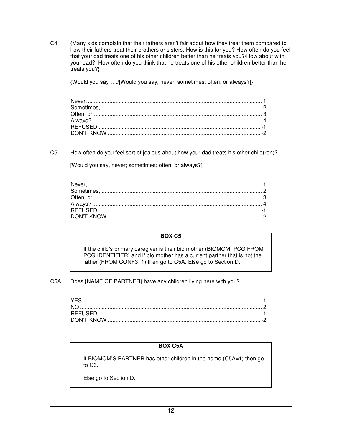C4. {Many kids complain that their fathers aren't fair about how they treat them compared to how their fathers treat their brothers or sisters. How is this for you? How often do you feel that your dad treats one of his other children better than he treats you?/How about with your dad? How often do you think that he treats one of his other children better than he treats you?}

{Would you say …./[Would you say, never; sometimes; often; or always?]}

C5. How often do you feel sort of jealous about how your dad treats his other child(ren)?

[Would you say, never; sometimes; often; or always?]

#### **BOX C5**

If the child's primary caregiver is their bio mother (BIOMOM=PCG FROM PCG IDENTIFIER) and if bio mother has a current partner that is not the father (FROM CONF3=1) then go to C5A. Else go to Section D.

C5A. Does {NAME OF PARTNER} have any children living here with you?

#### **BOX C5A**

If BIOMOM'S PARTNER has other children in the home (C5A=1) then go to C6.

Else go to Section D.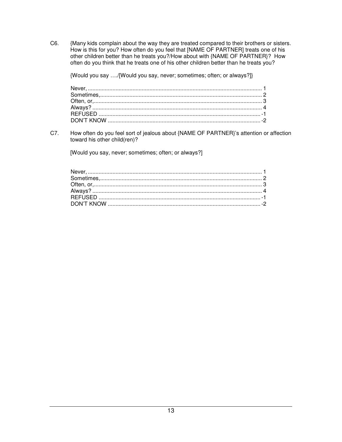C6. {Many kids complain about the way they are treated compared to their brothers or sisters. How is this for you? How often do you feel that [NAME OF PARTNER] treats one of his other children better than he treats you?/How about with {NAME OF PARTNER}? How often do you think that he treats one of his other children better than he treats you?

{Would you say ..../[Would you say, never; sometimes; often; or always?]}

C7. How often do you feel sort of jealous about {NAME OF PARTNER}'s attention or affection toward his other child(ren)?

[Would you say, never; sometimes; often; or always?]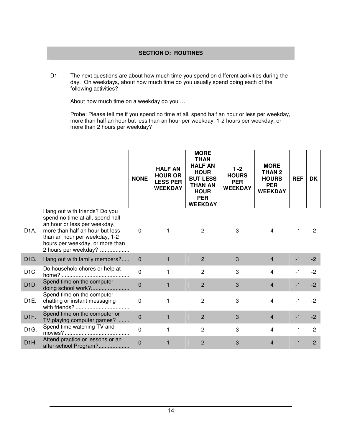### **SECTION D: ROUTINES**

D1. The next questions are about how much time you spend on different activities during the day. On weekdays, about how much time do you usually spend doing each of the following activities?

About how much time on a weekday do you …

Probe: Please tell me if you spend no time at all, spend half an hour or less per weekday, more than half an hour but less than an hour per weekday, 1-2 hours per weekday, or more than 2 hours per weekday?

|                   |                                                                                                                                                                                                                                  | <b>NONE</b>    | <b>HALF AN</b><br><b>HOUR OR</b><br><b>LESS PER</b><br><b>WEEKDAY</b> | <b>MORE</b><br><b>THAN</b><br><b>HALF AN</b><br><b>HOUR</b><br><b>BUT LESS</b><br><b>THAN AN</b><br><b>HOUR</b><br><b>PER</b><br><b>WEEKDAY</b> | 1 -2<br><b>HOURS</b><br><b>PER</b><br><b>WEEKDAY</b> | <b>MORE</b><br>THAN <sub>2</sub><br><b>HOURS</b><br><b>PER</b><br><b>WEEKDAY</b> | <b>REF</b> | DK.  |
|-------------------|----------------------------------------------------------------------------------------------------------------------------------------------------------------------------------------------------------------------------------|----------------|-----------------------------------------------------------------------|-------------------------------------------------------------------------------------------------------------------------------------------------|------------------------------------------------------|----------------------------------------------------------------------------------|------------|------|
| D <sub>1</sub> A. | Hang out with friends? Do you<br>spend no time at all, spend half<br>an hour or less per weekday,<br>more than half an hour but less<br>than an hour per weekday, 1-2<br>hours per weekday, or more than<br>2 hours per weekday? | $\mathbf 0$    |                                                                       | 2                                                                                                                                               | 3                                                    | $\overline{4}$                                                                   |            | $-2$ |
| D <sub>1</sub> B. | Hang out with family members?                                                                                                                                                                                                    | $\mathbf 0$    | 1                                                                     | $\overline{2}$                                                                                                                                  | 3                                                    | $\overline{4}$                                                                   | $-1$       | $-2$ |
| D <sub>1</sub> C. | Do household chores or help at                                                                                                                                                                                                   | $\overline{0}$ | 1                                                                     | $\overline{c}$                                                                                                                                  | 3                                                    | $\overline{4}$                                                                   | $-1$       | $-2$ |
| D <sub>1</sub> D. | Spend time on the computer<br>doing school work?                                                                                                                                                                                 | $\Omega$       | $\mathbf{1}$                                                          | 2                                                                                                                                               | 3                                                    | $\overline{4}$                                                                   | -1         | $-2$ |
| D <sub>1E</sub> . | Spend time on the computer<br>chatting or instant messaging                                                                                                                                                                      | $\mathbf 0$    | 1                                                                     | $\overline{2}$                                                                                                                                  | 3                                                    | $\overline{4}$                                                                   | $-1$       | $-2$ |
| D <sub>1F</sub> . | Spend time on the computer or<br>TV playing computer games?                                                                                                                                                                      | $\mathbf 0$    | $\mathbf{1}$                                                          | $\overline{2}$                                                                                                                                  | 3                                                    | $\overline{4}$                                                                   | $-1$       | $-2$ |
| D <sub>1</sub> G. | Spend time watching TV and                                                                                                                                                                                                       | $\overline{0}$ | 1                                                                     | $\overline{2}$                                                                                                                                  | 3                                                    | 4                                                                                | -1         | $-2$ |
| D <sub>1</sub> H. | Attend practice or lessons or an<br>after-school Program?                                                                                                                                                                        | $\overline{0}$ | 1                                                                     | $\overline{2}$                                                                                                                                  | 3                                                    | $\overline{4}$                                                                   |            | $-2$ |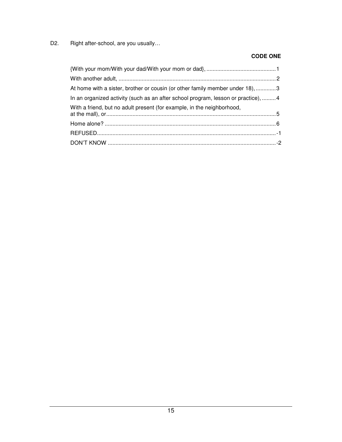D2. Right after-school, are you usually...

### **CODE ONE**

| At home with a sister, brother or cousin (or other family member under 18), 3     |  |
|-----------------------------------------------------------------------------------|--|
| In an organized activity (such as an after school program, lesson or practice), 4 |  |
| With a friend, but no adult present (for example, in the neighborhood,            |  |
|                                                                                   |  |
|                                                                                   |  |
|                                                                                   |  |
|                                                                                   |  |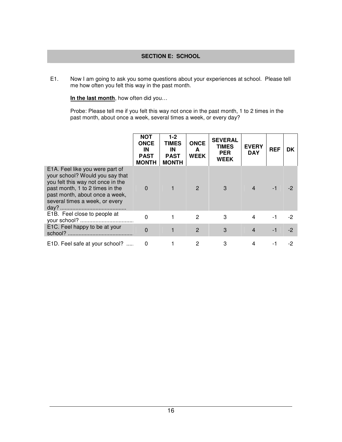## **SECTION E: SCHOOL**

E1. Now I am going to ask you some questions about your experiences at school. Please tell me how often you felt this way in the past month.

**In the last month**, how often did you…

Probe: Please tell me if you felt this way not once in the past month, 1 to 2 times in the past month, about once a week, several times a week, or every day?

|                                                                                                                                                                                                                | <b>NOT</b><br><b>ONCE</b><br>IN<br><b>PAST</b><br><b>MONTH</b> | $1-2$<br><b>TIMES</b><br>IN<br><b>PAST</b><br><b>MONTH</b> | <b>ONCE</b><br>A<br><b>WEEK</b> | <b>SEVERAL</b><br><b>TIMES</b><br><b>PER</b><br><b>WEEK</b> | <b>EVERY</b><br><b>DAY</b> | <b>REF</b> | DK   |
|----------------------------------------------------------------------------------------------------------------------------------------------------------------------------------------------------------------|----------------------------------------------------------------|------------------------------------------------------------|---------------------------------|-------------------------------------------------------------|----------------------------|------------|------|
| E1A. Feel like you were part of<br>your school? Would you say that<br>you felt this way not once in the<br>past month, 1 to 2 times in the<br>past month, about once a week,<br>several times a week, or every | $\Omega$                                                       |                                                            | $\mathcal{P}$                   | 3                                                           |                            |            |      |
| E1B. Feel close to people at                                                                                                                                                                                   | $\Omega$                                                       |                                                            | $\mathcal{P}$                   | 3                                                           |                            | -1         | -2   |
| E1C. Feel happy to be at your                                                                                                                                                                                  | $\Omega$                                                       |                                                            | $\overline{2}$                  | 3                                                           | $\overline{\mathbf{4}}$    | $-1$       | $-2$ |
| E1D. Feel safe at your school?                                                                                                                                                                                 |                                                                |                                                            | 2                               | 3                                                           |                            |            | -2   |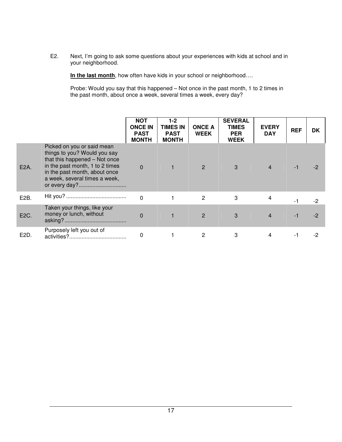E2. Next, I'm going to ask some questions about your experiences with kids at school and in your neighborhood.

**In the last month**, how often have kids in your school or neighborhood….

Probe: Would you say that this happened – Not once in the past month, 1 to 2 times in the past month, about once a week, several times a week, every day?

|                   |                                                                                                                                                                                                  | <b>NOT</b><br><b>ONCE IN</b><br><b>PAST</b><br><b>MONTH</b> | $1-2$<br><b>TIMES IN</b><br><b>PAST</b><br><b>MONTH</b> | <b>ONCE A</b><br><b>WEEK</b> | <b>SEVERAL</b><br><b>TIMES</b><br><b>PER</b><br><b>WEEK</b> | <b>EVERY</b><br><b>DAY</b> | <b>REF</b> | DK   |
|-------------------|--------------------------------------------------------------------------------------------------------------------------------------------------------------------------------------------------|-------------------------------------------------------------|---------------------------------------------------------|------------------------------|-------------------------------------------------------------|----------------------------|------------|------|
| E2A.              | Picked on you or said mean<br>things to you? Would you say<br>that this happened - Not once<br>in the past month, 1 to 2 times<br>in the past month, about once<br>a week, several times a week, | $\Omega$                                                    |                                                         | $\overline{2}$               | 3                                                           | $\overline{4}$             | -1         | $-2$ |
| E <sub>2</sub> B. |                                                                                                                                                                                                  | $\overline{0}$                                              |                                                         | $\overline{2}$               | 3                                                           | $\overline{\mathbf{4}}$    | -1         | $-2$ |
| E2C.              | Taken your things, like your<br>money or lunch, without                                                                                                                                          | $\Omega$                                                    |                                                         | $\overline{2}$               | 3                                                           | $\overline{4}$             | $-1$       | $-2$ |
| E2D.              | Purposely left you out of                                                                                                                                                                        | 0                                                           |                                                         | 2                            | 3                                                           | 4                          | -1         | -2   |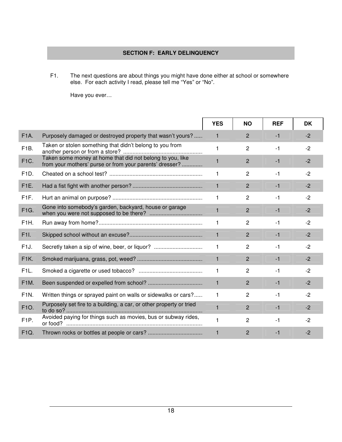# **SECTION F: EARLY DELINQUENCY**

F1. The next questions are about things you might have done either at school or somewhere else. For each activity I read, please tell me "Yes" or "No".

Have you ever…

|                   |                                                                                                                      | <b>YES</b>   | <b>NO</b>      | <b>REF</b> | <b>DK</b> |
|-------------------|----------------------------------------------------------------------------------------------------------------------|--------------|----------------|------------|-----------|
| <b>F1A.</b>       | Purposely damaged or destroyed property that wasn't yours?                                                           | 1            | $\overline{2}$ | $-1$       | $-2$      |
| F <sub>1</sub> B. | Taken or stolen something that didn't belong to you from                                                             | 1            | $\overline{2}$ | $-1$       | $-2$      |
| F1C.              | Taken some money at home that did not belong to you, like<br>from your mothers' purse or from your parents' dresser? | 1            | $\overline{2}$ | $-1$       | $-2$      |
| F <sub>1</sub> D. |                                                                                                                      | 1            | $\overline{c}$ | $-1$       | $-2$      |
| <b>F1E.</b>       |                                                                                                                      | 1            | $\overline{2}$ | $-1$       | $-2$      |
| F <sub>1F</sub> . |                                                                                                                      | 1            | 2              | $-1$       | $-2$      |
| F1G.              | Gone into somebody's garden, backyard, house or garage                                                               | 1            | $\overline{2}$ | $-1$       | $-2$      |
| F1H.              |                                                                                                                      | 1            | $\overline{2}$ | $-1$       | $-2$      |
| F1I.              |                                                                                                                      | $\mathbf{1}$ | $\overline{2}$ | $-1$       | $-2$      |
| F <sub>1</sub> J. | Secretly taken a sip of wine, beer, or liquor?                                                                       | 1            | $\overline{c}$ | $-1$       | $-2$      |
| F1K.              |                                                                                                                      | $\mathbf{1}$ | $\overline{2}$ | $-1$       | $-2$      |
| F <sub>1</sub> L. |                                                                                                                      | 1            | 2              | $-1$       | $-2$      |
| F <sub>1</sub> M. |                                                                                                                      | $\mathbf{1}$ | 2              | $-1$       | $-2$      |
| F1N.              | Written things or sprayed paint on walls or sidewalks or cars?                                                       | 1            | 2              | $-1$       | $-2$      |
| F10.              | Purposely set fire to a building, a car, or other property or tried                                                  | 1            | $\overline{2}$ | $-1$       | $-2$      |
| F <sub>1</sub> P. | Avoided paying for things such as movies, bus or subway rides,                                                       | 1            | $\overline{2}$ | $-1$       | $-2$      |
| F <sub>1Q</sub> . |                                                                                                                      | $\mathbf{1}$ | $\overline{2}$ | $-1$       | $-2$      |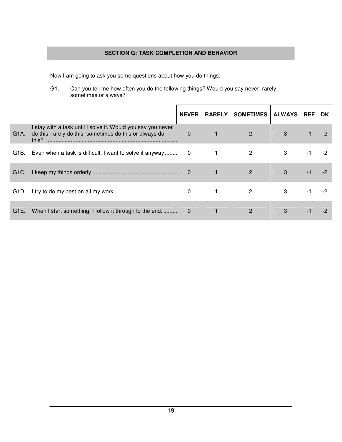### **SECTION G: TASK COMPLETION AND BEHAVIOR**

Now I am going to ask you some questions about how you do things.

G1. Can you tell me how often you do the following things? Would you say never, rarely, sometimes or always?

|      |                                                                                                                                  | <b>NEVER</b> |                                                                                           | <b>RARELY   SOMETIMES  </b>                                                                                                           | ALWAYS REF |    | DK. |
|------|----------------------------------------------------------------------------------------------------------------------------------|--------------|-------------------------------------------------------------------------------------------|---------------------------------------------------------------------------------------------------------------------------------------|------------|----|-----|
| G1A. | I stay with a task until I solve it. Would you say you never<br>do this, rarely do this, sometimes do this or always do<br>this? | $\mathbf{0}$ | $\blacksquare$ $\blacksquare$ $\blacksquare$ $\blacksquare$ $\blacksquare$ $\blacksquare$ | $\overline{\phantom{a}}$ 2                                                                                                            | 3          |    |     |
|      | G1B. Even when a task is difficult, I want to solve it anyway 0                                                                  |              |                                                                                           | $\overline{2}$                                                                                                                        | 3          |    |     |
|      |                                                                                                                                  |              |                                                                                           | $\begin{array}{ c c c c c }\n\hline\n\text{1} & \text{2} & \text{1} \\ \hline\n\text{2} & \text{2} & \text{1} \\ \hline\n\end{array}$ | 3          |    |     |
|      |                                                                                                                                  |              |                                                                                           |                                                                                                                                       | 3          | -1 |     |
|      | G1E. When I start something, I follow it through to the end                                                                      | $\Omega$     | $\blacktriangle \blacktriangledown$                                                       | 2                                                                                                                                     | 3          |    |     |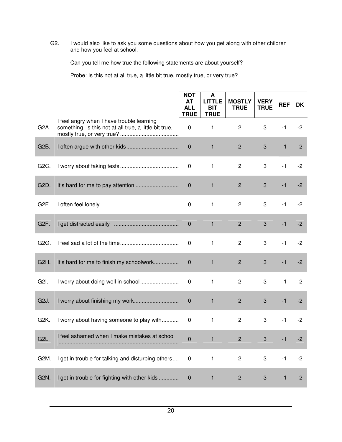G2. I would also like to ask you some questions about how you get along with other children and how you feel at school.

Can you tell me how true the following statements are about yourself?

Probe: Is this not at all true, a little bit true, mostly true, or very true?

|                   |                                                                                                     | <b>NOT</b><br>AT<br><b>ALL</b><br><b>TRUE</b> | A<br><b>LITTLE</b><br><b>BIT</b><br><b>TRUE</b> | <b>MOSTLY</b><br><b>TRUE</b> | <b>VERY</b><br><b>TRUE</b> | <b>REF</b> | <b>DK</b> |
|-------------------|-----------------------------------------------------------------------------------------------------|-----------------------------------------------|-------------------------------------------------|------------------------------|----------------------------|------------|-----------|
| G <sub>2</sub> A. | I feel angry when I have trouble learning<br>something. Is this not at all true, a little bit true, | $\pmb{0}$                                     | 1                                               | $\overline{c}$               | 3                          | $-1$       | $-2$      |
| G <sub>2</sub> B. |                                                                                                     | $\mathbf 0$                                   | $\mathbf{1}$                                    | $\overline{2}$               | 3                          | $-1$       | $-2$      |
| G2C.              |                                                                                                     | $\pmb{0}$                                     | 1                                               | $\overline{c}$               | 3                          | $-1$       | $-2$      |
| G2D.              |                                                                                                     | $\boldsymbol{0}$                              | $\mathbf{1}$                                    | $\overline{2}$               | 3                          | $-1$       | $-2$      |
| G <sub>2</sub> E. |                                                                                                     | 0                                             | 1                                               | $\overline{c}$               | 3                          | $-1$       | $-2$      |
| G <sub>2</sub> F. |                                                                                                     | $\mathbf 0$                                   | 1                                               | $\overline{2}$               | 3                          | $-1$       | $-2$      |
| G <sub>2</sub> G. |                                                                                                     | $\mathbf 0$                                   | 1                                               | $\overline{c}$               | 3                          | $-1$       | $-2$      |
| G <sub>2</sub> H. | It's hard for me to finish my schoolwork                                                            | $\mathbf 0$                                   | 1                                               | $\overline{c}$               | 3                          | $-1$       | $-2$      |
| G2I.              | I worry about doing well in school                                                                  | $\mathbf 0$                                   | 1                                               | $\overline{c}$               | 3                          | $-1$       | $-2$      |
| G <sub>2</sub> J. | I worry about finishing my work                                                                     | $\pmb{0}$                                     | $\mathbf{1}$                                    | $\overline{2}$               | 3                          | $-1$       | $-2$      |
| G <sub>2</sub> K. | I worry about having someone to play with                                                           | 0                                             | 1                                               | $\overline{c}$               | 3                          | $-1$       | $-2$      |
| G <sub>2</sub> L  | I feel ashamed when I make mistakes at school                                                       | $\Omega$                                      | 1                                               | 2                            | 3                          | -1         | -2        |
| G2M.              | I get in trouble for talking and disturbing others                                                  | $\mathbf 0$                                   | 1                                               | $\overline{c}$               | 3                          | $-1$       | $-2$      |
| G <sub>2</sub> N. | I get in trouble for fighting with other kids                                                       | $\mathbf 0$                                   | 1                                               | $\overline{c}$               | 3                          | $-1$       | $-2$      |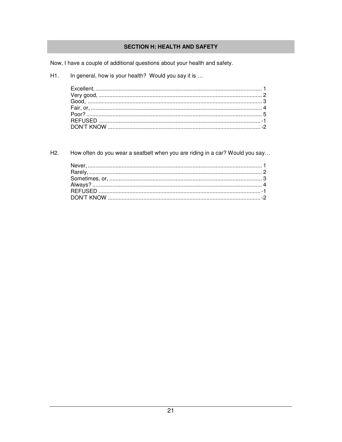# **SECTION H: HEALTH AND SAFETY**

Now, I have a couple of additional questions about your health and safety.

In general, how is your health? Would you say it is ... H1.

How often do you wear a seatbelt when you are riding in a car? Would you say... H<sub>2</sub>.